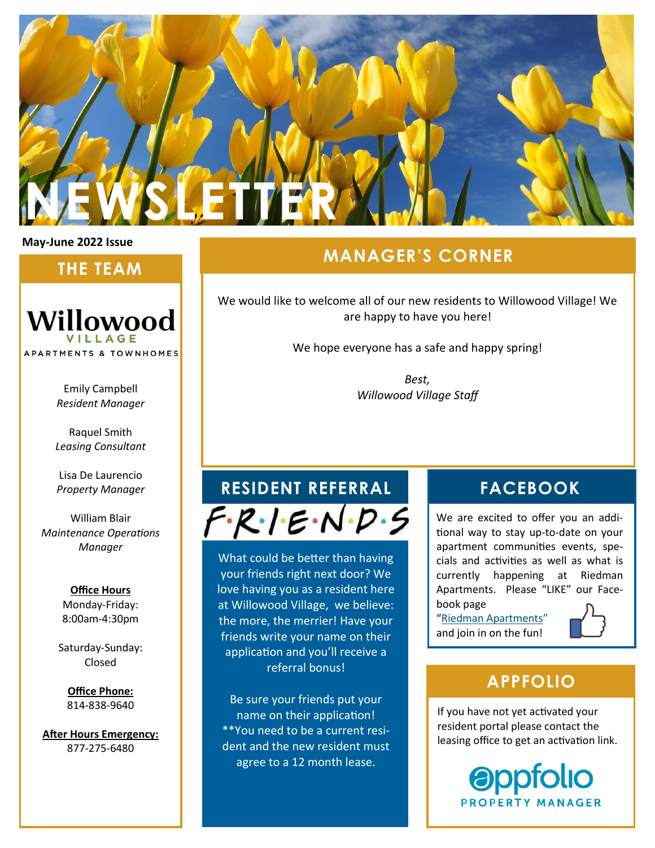

#### **May-June 2022 Issue**

## **THE TEAM**



Emily Campbell *Resident Manager*

Raquel Smith *Leasing Consultant*

Lisa De Laurencio *Property Manager*

William Blair *Maintenance Operations Manager*

> **Office Hours** Monday-Friday: 8:00am-4:30pm

Saturday-Sunday: Closed

**Office Phone:** 814-838-9640

**After Hours Emergency:** 877-275-6480

# **MANAGER'S CORNER**

We would like to welcome all of our new residents to Willowood Village! We are happy to have you here!

We hope everyone has a safe and happy spring!

*Best, Willowood Village Staff*

# **RESIDENT REFERRAL FACEBOOK**  $F \cdot R \cdot I \cdot E \cdot N \cdot D \cdot S$

What could be better than having your friends right next door? We love having you as a resident here at Willowood Village, we believe: the more, the merrier! Have your friends write your name on their application and you'll receive a referral bonus!

Be sure your friends put your name on their application! \*\*You need to be a current resident and the new resident must agree to a 12 month lease.

We are excited to offer you an additional way to stay up-to-date on your apartment communities events, specials and activities as well as what is currently happening at Riedman Apartments. Please "LIKE" our Facebook page

"[Riedman Apartments](https://www.facebook.com/RiedmanApartmentLiving)" and join in on the fun!



# **APPFOLIO**

If you have not yet activated your resident portal please contact the leasing office to get an activation link.

> **Oppfolio PROPERTY MANAGER**